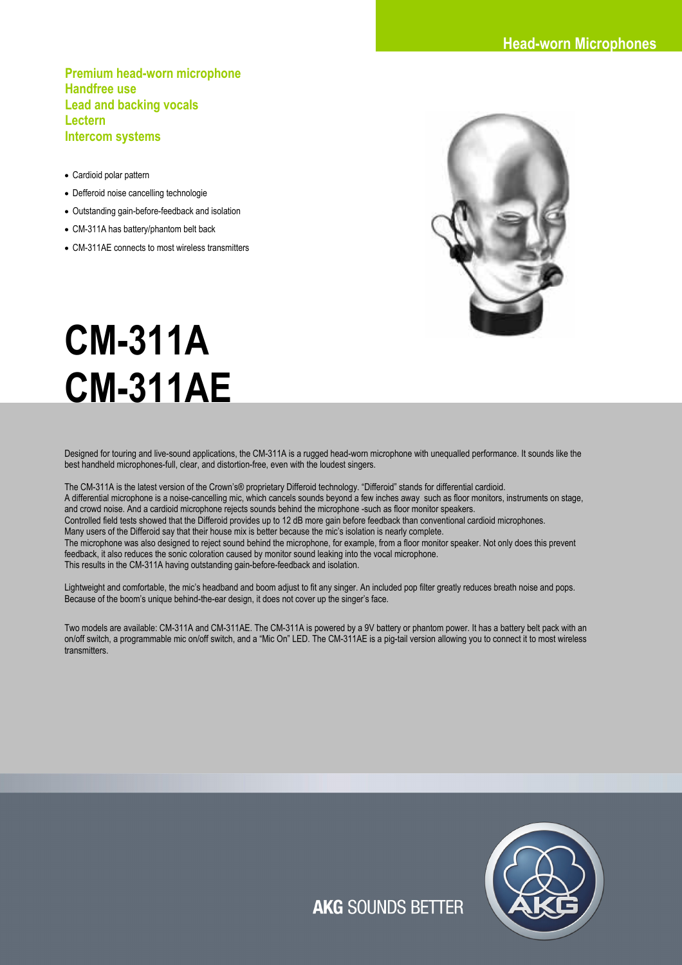**Premium head-worn microphone Handfree use Lead and backing vocals Lectern Intercom systems** 

- Cardioid polar pattern
- Defferoid noise cancelling technologie
- Outstanding gain-before-feedback and isolation
- CM-311A has battery/phantom belt back
- CM-311AE connects to most wireless transmitters



# **CM-311A CM-311AE**

Designed for touring and live-sound applications, the CM-311A is a rugged head-worn microphone with unequalled performance. It sounds like the best handheld microphones-full, clear, and distortion-free, even with the loudest singers.

The CM-311A is the latest version of the Crown's® proprietary Differoid technology. "Differoid" stands for differential cardioid. A differential microphone is a noise-cancelling mic, which cancels sounds beyond a few inches away such as floor monitors, instruments on stage, and crowd noise. And a cardioid microphone rejects sounds behind the microphone -such as floor monitor speakers. Controlled field tests showed that the Differoid provides up to 12 dB more gain before feedback than conventional cardioid microphones. Many users of the Differoid say that their house mix is better because the mic's isolation is nearly complete. The microphone was also designed to reject sound behind the microphone, for example, from a floor monitor speaker. Not only does this prevent feedback, it also reduces the sonic coloration caused by monitor sound leaking into the vocal microphone. This results in the CM-311A having outstanding gain-before-feedback and isolation.

Lightweight and comfortable, the mic's headband and boom adjust to fit any singer. An included pop filter greatly reduces breath noise and pops. Because of the boom's unique behind-the-ear design, it does not cover up the singer's face.

Two models are available: CM-311A and CM-311AE. The CM-311A is powered by a 9V battery or phantom power. It has a battery belt pack with an on/off switch, a programmable mic on/off switch, and a "Mic On" LED. The CM-311AE is a pig-tail version allowing you to connect it to most wireless transmitters.



**AKG SOUNDS BETTER**